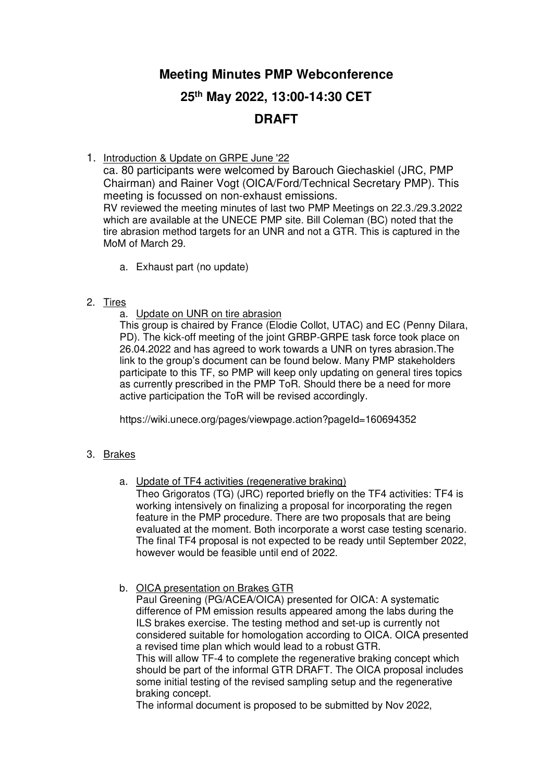## **Meeting Minutes PMP Webconference**

# **25th May 2022, 13:00-14:30 CET DRAFT**

1. Introduction & Update on GRPE June '22

ca. 80 participants were welcomed by Barouch Giechaskiel (JRC, PMP Chairman) and Rainer Vogt (OICA/Ford/Technical Secretary PMP). This meeting is focussed on non-exhaust emissions. RV reviewed the meeting minutes of last two PMP Meetings on 22.3./29.3.2022 which are available at the UNECE PMP site. Bill Coleman (BC) noted that the tire abrasion method targets for an UNR and not a GTR. This is captured in the MoM of March 29.

a. Exhaust part (no update)

### 2. Tires

a. Update on UNR on tire abrasion

This group is chaired by France (Elodie Collot, UTAC) and EC (Penny Dilara, PD). The kick-off meeting of the joint GRBP-GRPE task force took place on 26.04.2022 and has agreed to work towards a UNR on tyres abrasion.The link to the group's document can be found below. Many PMP stakeholders participate to this TF, so PMP will keep only updating on general tires topics as currently prescribed in the PMP ToR. Should there be a need for more active participation the ToR will be revised accordingly.

https://wiki.unece.org/pages/viewpage.action?pageId=160694352

## 3. Brakes

a. Update of TF4 activities (regenerative braking)

Theo Grigoratos (TG) (JRC) reported briefly on the TF4 activities: TF4 is working intensively on finalizing a proposal for incorporating the regen feature in the PMP procedure. There are two proposals that are being evaluated at the moment. Both incorporate a worst case testing scenario. The final TF4 proposal is not expected to be ready until September 2022, however would be feasible until end of 2022.

b. OICA presentation on Brakes GTR

Paul Greening (PG/ACEA/OICA) presented for OICA: A systematic difference of PM emission results appeared among the labs during the ILS brakes exercise. The testing method and set-up is currently not considered suitable for homologation according to OICA. OICA presented a revised time plan which would lead to a robust GTR. This will allow TF-4 to complete the regenerative braking concept which

should be part of the informal GTR DRAFT. The OICA proposal includes some initial testing of the revised sampling setup and the regenerative braking concept.

The informal document is proposed to be submitted by Nov 2022,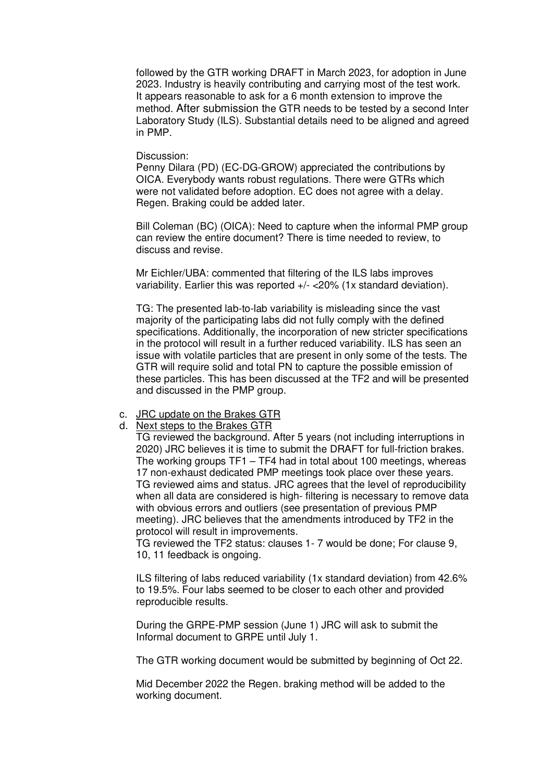followed by the GTR working DRAFT in March 2023, for adoption in June 2023. Industry is heavily contributing and carrying most of the test work. It appears reasonable to ask for a 6 month extension to improve the method. After submission the GTR needs to be tested by a second Inter Laboratory Study (ILS). Substantial details need to be aligned and agreed in PMP.

#### Discussion:

Penny Dilara (PD) (EC-DG-GROW) appreciated the contributions by OICA. Everybody wants robust regulations. There were GTRs which were not validated before adoption. EC does not agree with a delay. Regen. Braking could be added later.

Bill Coleman (BC) (OICA): Need to capture when the informal PMP group can review the entire document? There is time needed to review, to discuss and revise.

Mr Eichler/UBA: commented that filtering of the ILS labs improves variability. Earlier this was reported +/- <20% (1x standard deviation).

TG: The presented lab-to-lab variability is misleading since the vast majority of the participating labs did not fully comply with the defined specifications. Additionally, the incorporation of new stricter specifications in the protocol will result in a further reduced variability. ILS has seen an issue with volatile particles that are present in only some of the tests. The GTR will require solid and total PN to capture the possible emission of these particles. This has been discussed at the TF2 and will be presented and discussed in the PMP group.

#### c. JRC update on the Brakes GTR

d. Next steps to the Brakes GTR

TG reviewed the background. After 5 years (not including interruptions in 2020) JRC believes it is time to submit the DRAFT for full-friction brakes. The working groups TF1 – TF4 had in total about 100 meetings, whereas 17 non-exhaust dedicated PMP meetings took place over these years. TG reviewed aims and status. JRC agrees that the level of reproducibility when all data are considered is high- filtering is necessary to remove data with obvious errors and outliers (see presentation of previous PMP meeting). JRC believes that the amendments introduced by TF2 in the protocol will result in improvements.

TG reviewed the TF2 status: clauses 1- 7 would be done; For clause 9, 10, 11 feedback is ongoing.

ILS filtering of labs reduced variability (1x standard deviation) from 42.6% to 19.5%. Four labs seemed to be closer to each other and provided reproducible results.

During the GRPE-PMP session (June 1) JRC will ask to submit the Informal document to GRPE until July 1.

The GTR working document would be submitted by beginning of Oct 22.

Mid December 2022 the Regen. braking method will be added to the working document.